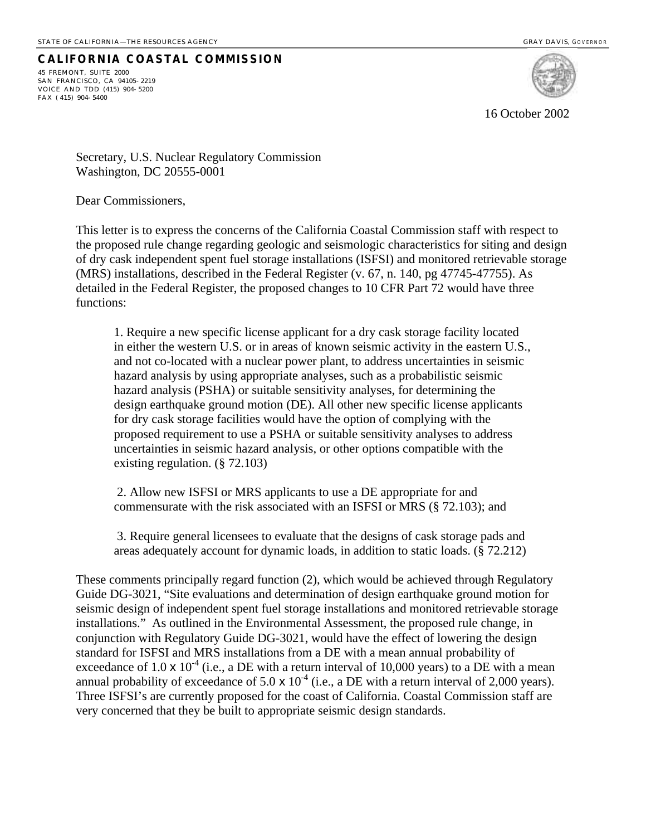## **CALIFORNIA COASTAL COMMISSION**

45 FREMONT, SUITE 2000 SAN FRANCISCO, CA 94105- 2219 VOICE AND TDD (415) 904- 5200 FAX ( 415) 904- 5400



16 October 2002

Secretary, U.S. Nuclear Regulatory Commission Washington, DC 20555-0001

Dear Commissioners,

This letter is to express the concerns of the California Coastal Commission staff with respect to the proposed rule change regarding geologic and seismologic characteristics for siting and design of dry cask independent spent fuel storage installations (ISFSI) and monitored retrievable storage (MRS) installations, described in the Federal Register (v. 67, n. 140, pg 47745-47755). As detailed in the Federal Register, the proposed changes to 10 CFR Part 72 would have three functions:

1. Require a new specific license applicant for a dry cask storage facility located in either the western U.S. or in areas of known seismic activity in the eastern U.S., and not co-located with a nuclear power plant, to address uncertainties in seismic hazard analysis by using appropriate analyses, such as a probabilistic seismic hazard analysis (PSHA) or suitable sensitivity analyses, for determining the design earthquake ground motion (DE). All other new specific license applicants for dry cask storage facilities would have the option of complying with the proposed requirement to use a PSHA or suitable sensitivity analyses to address uncertainties in seismic hazard analysis, or other options compatible with the existing regulation. (§ 72.103)

 2. Allow new ISFSI or MRS applicants to use a DE appropriate for and commensurate with the risk associated with an ISFSI or MRS (§ 72.103); and

 3. Require general licensees to evaluate that the designs of cask storage pads and areas adequately account for dynamic loads, in addition to static loads. (§ 72.212)

These comments principally regard function (2), which would be achieved through Regulatory Guide DG-3021, "Site evaluations and determination of design earthquake ground motion for seismic design of independent spent fuel storage installations and monitored retrievable storage installations." As outlined in the Environmental Assessment, the proposed rule change, in conjunction with Regulatory Guide DG-3021, would have the effect of lowering the design standard for ISFSI and MRS installations from a DE with a mean annual probability of exceedance of 1.0  $\times$  10<sup>-4</sup> (i.e., a DE with a return interval of 10,000 years) to a DE with a mean annual probability of exceedance of  $5.0 \times 10^{-4}$  (i.e., a DE with a return interval of 2,000 years). Three ISFSI's are currently proposed for the coast of California. Coastal Commission staff are very concerned that they be built to appropriate seismic design standards.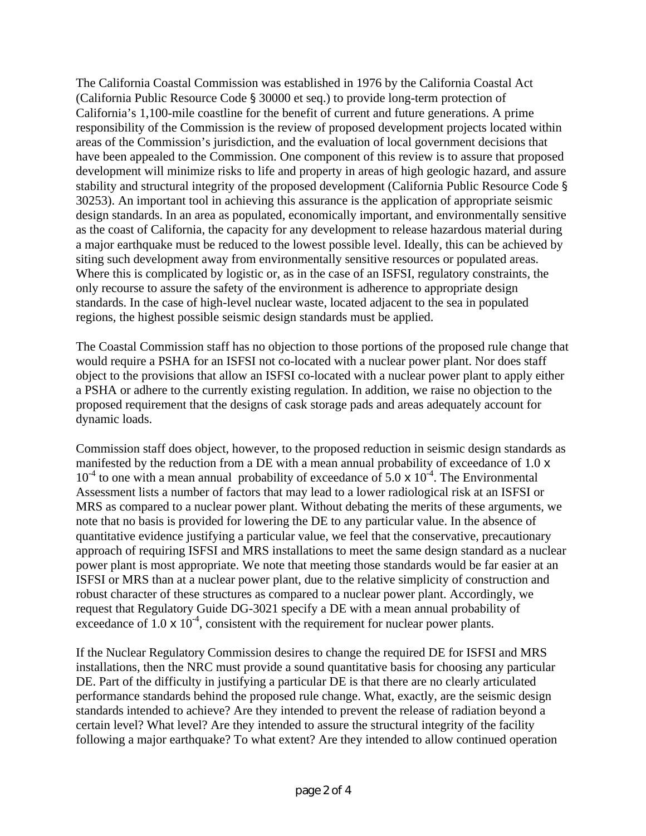The California Coastal Commission was established in 1976 by the California Coastal Act (California Public Resource Code § 30000 et seq.) to provide long-term protection of California's 1,100-mile coastline for the benefit of current and future generations. A prime responsibility of the Commission is the review of proposed development projects located within areas of the Commission's jurisdiction, and the evaluation of local government decisions that have been appealed to the Commission. One component of this review is to assure that proposed development will minimize risks to life and property in areas of high geologic hazard, and assure stability and structural integrity of the proposed development (California Public Resource Code § 30253). An important tool in achieving this assurance is the application of appropriate seismic design standards. In an area as populated, economically important, and environmentally sensitive as the coast of California, the capacity for any development to release hazardous material during a major earthquake must be reduced to the lowest possible level. Ideally, this can be achieved by siting such development away from environmentally sensitive resources or populated areas. Where this is complicated by logistic or, as in the case of an ISFSI, regulatory constraints, the only recourse to assure the safety of the environment is adherence to appropriate design standards. In the case of high-level nuclear waste, located adjacent to the sea in populated regions, the highest possible seismic design standards must be applied.

The Coastal Commission staff has no objection to those portions of the proposed rule change that would require a PSHA for an ISFSI not co-located with a nuclear power plant. Nor does staff object to the provisions that allow an ISFSI co-located with a nuclear power plant to apply either a PSHA or adhere to the currently existing regulation. In addition, we raise no objection to the proposed requirement that the designs of cask storage pads and areas adequately account for dynamic loads.

Commission staff does object, however, to the proposed reduction in seismic design standards as manifested by the reduction from a DE with a mean annual probability of exceedance of 1.0 x  $10^{-4}$  to one with a mean annual probability of exceedance of 5.0 x  $10^{-4}$ . The Environmental Assessment lists a number of factors that may lead to a lower radiological risk at an ISFSI or MRS as compared to a nuclear power plant. Without debating the merits of these arguments, we note that no basis is provided for lowering the DE to any particular value. In the absence of quantitative evidence justifying a particular value, we feel that the conservative, precautionary approach of requiring ISFSI and MRS installations to meet the same design standard as a nuclear power plant is most appropriate. We note that meeting those standards would be far easier at an ISFSI or MRS than at a nuclear power plant, due to the relative simplicity of construction and robust character of these structures as compared to a nuclear power plant. Accordingly, we request that Regulatory Guide DG-3021 specify a DE with a mean annual probability of exceedance of  $1.0 \times 10^{-4}$ , consistent with the requirement for nuclear power plants.

If the Nuclear Regulatory Commission desires to change the required DE for ISFSI and MRS installations, then the NRC must provide a sound quantitative basis for choosing any particular DE. Part of the difficulty in justifying a particular DE is that there are no clearly articulated performance standards behind the proposed rule change. What, exactly, are the seismic design standards intended to achieve? Are they intended to prevent the release of radiation beyond a certain level? What level? Are they intended to assure the structural integrity of the facility following a major earthquake? To what extent? Are they intended to allow continued operation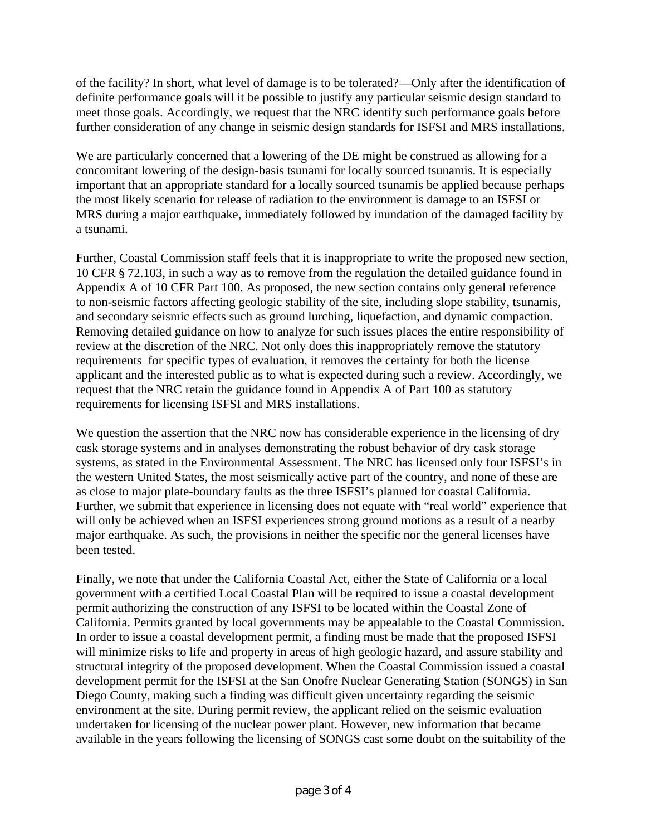of the facility? In short, what level of damage is to be tolerated?—Only after the identification of definite performance goals will it be possible to justify any particular seismic design standard to meet those goals. Accordingly, we request that the NRC identify such performance goals before further consideration of any change in seismic design standards for ISFSI and MRS installations.

We are particularly concerned that a lowering of the DE might be construed as allowing for a concomitant lowering of the design-basis tsunami for locally sourced tsunamis. It is especially important that an appropriate standard for a locally sourced tsunamis be applied because perhaps the most likely scenario for release of radiation to the environment is damage to an ISFSI or MRS during a major earthquake, immediately followed by inundation of the damaged facility by a tsunami.

Further, Coastal Commission staff feels that it is inappropriate to write the proposed new section, 10 CFR § 72.103, in such a way as to remove from the regulation the detailed guidance found in Appendix A of 10 CFR Part 100. As proposed, the new section contains only general reference to non-seismic factors affecting geologic stability of the site, including slope stability, tsunamis, and secondary seismic effects such as ground lurching, liquefaction, and dynamic compaction. Removing detailed guidance on how to analyze for such issues places the entire responsibility of review at the discretion of the NRC. Not only does this inappropriately remove the statutory requirements for specific types of evaluation, it removes the certainty for both the license applicant and the interested public as to what is expected during such a review. Accordingly, we request that the NRC retain the guidance found in Appendix A of Part 100 as statutory requirements for licensing ISFSI and MRS installations.

We question the assertion that the NRC now has considerable experience in the licensing of dry cask storage systems and in analyses demonstrating the robust behavior of dry cask storage systems, as stated in the Environmental Assessment. The NRC has licensed only four ISFSI's in the western United States, the most seismically active part of the country, and none of these are as close to major plate-boundary faults as the three ISFSI's planned for coastal California. Further, we submit that experience in licensing does not equate with "real world" experience that will only be achieved when an ISFSI experiences strong ground motions as a result of a nearby major earthquake. As such, the provisions in neither the specific nor the general licenses have been tested.

Finally, we note that under the California Coastal Act, either the State of California or a local government with a certified Local Coastal Plan will be required to issue a coastal development permit authorizing the construction of any ISFSI to be located within the Coastal Zone of California. Permits granted by local governments may be appealable to the Coastal Commission. In order to issue a coastal development permit, a finding must be made that the proposed ISFSI will minimize risks to life and property in areas of high geologic hazard, and assure stability and structural integrity of the proposed development. When the Coastal Commission issued a coastal development permit for the ISFSI at the San Onofre Nuclear Generating Station (SONGS) in San Diego County, making such a finding was difficult given uncertainty regarding the seismic environment at the site. During permit review, the applicant relied on the seismic evaluation undertaken for licensing of the nuclear power plant. However, new information that became available in the years following the licensing of SONGS cast some doubt on the suitability of the